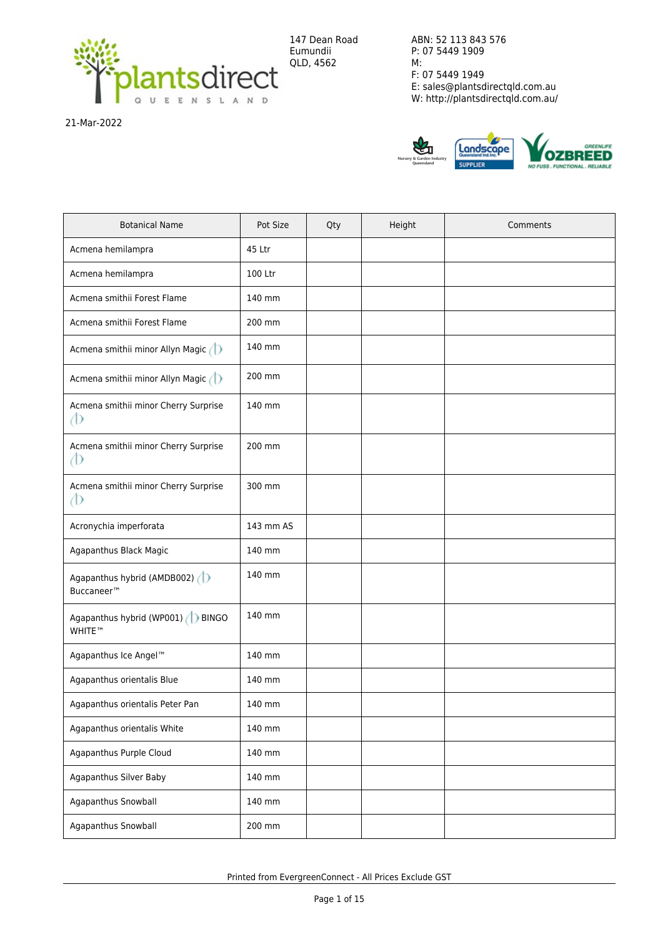

147 Dean Road Eumundii QLD, 4562

ABN: 52 113 843 576 P: 07 5449 1909 M: F: 07 5449 1949 E: sales@plantsdirectqld.com.au W: http://plantsdirectqld.com.au/

21-Mar-2022



| <b>Botanical Name</b>                                 | Pot Size  | Qty | Height | Comments |
|-------------------------------------------------------|-----------|-----|--------|----------|
| Acmena hemilampra                                     | 45 Ltr    |     |        |          |
| Acmena hemilampra                                     | 100 Ltr   |     |        |          |
| Acmena smithii Forest Flame                           | 140 mm    |     |        |          |
| Acmena smithii Forest Flame                           | 200 mm    |     |        |          |
| Acmena smithii minor Allyn Magic                      | 140 mm    |     |        |          |
| Acmena smithii minor Allyn Magic (1)                  | 200 mm    |     |        |          |
| Acmena smithii minor Cherry Surprise<br>Þ             | 140 mm    |     |        |          |
| Acmena smithii minor Cherry Surprise<br>Ф             | 200 mm    |     |        |          |
| Acmena smithii minor Cherry Surprise<br>Þ             | 300 mm    |     |        |          |
| Acronychia imperforata                                | 143 mm AS |     |        |          |
| Agapanthus Black Magic                                | 140 mm    |     |        |          |
| Agapanthus hybrid (AMDB002)<br>Buccaneer <sup>™</sup> | 140 mm    |     |        |          |
| Agapanthus hybrid (WP001) ( BINGO<br>WHITE™           | 140 mm    |     |        |          |
| Agapanthus Ice Angel™                                 | 140 mm    |     |        |          |
| Agapanthus orientalis Blue                            | 140 mm    |     |        |          |
| Agapanthus orientalis Peter Pan                       | 140 mm    |     |        |          |
| Agapanthus orientalis White                           | 140 mm    |     |        |          |
| Agapanthus Purple Cloud                               | 140 mm    |     |        |          |
| Agapanthus Silver Baby                                | 140 mm    |     |        |          |
| Agapanthus Snowball                                   | 140 mm    |     |        |          |
| Agapanthus Snowball                                   | 200 mm    |     |        |          |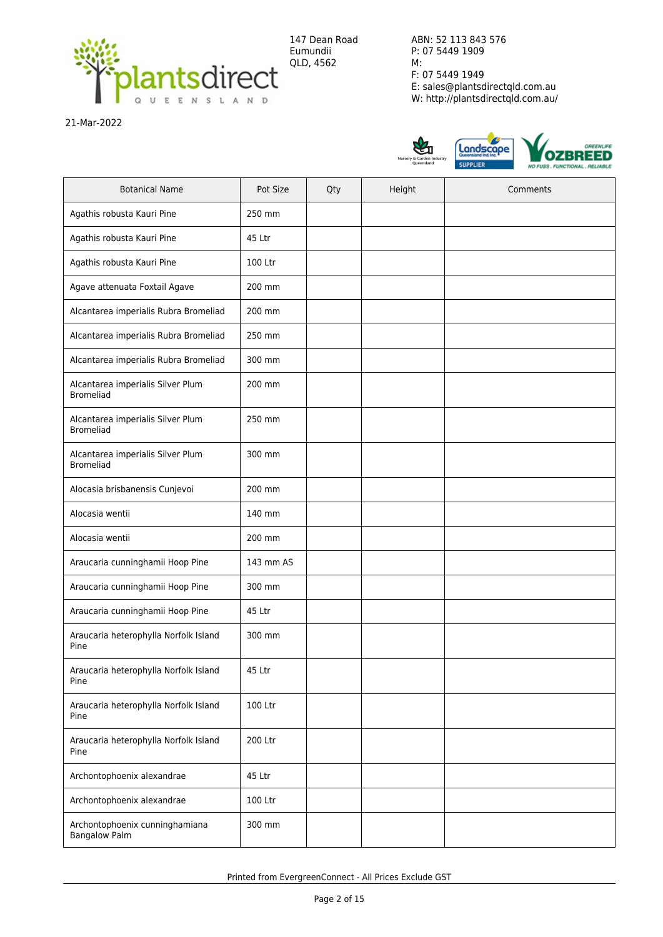

21-Mar-2022



| <b>Botanical Name</b>                                  | Pot Size  | Qty | Height | Comments |
|--------------------------------------------------------|-----------|-----|--------|----------|
| Agathis robusta Kauri Pine                             | 250 mm    |     |        |          |
| Agathis robusta Kauri Pine                             | 45 Ltr    |     |        |          |
| Agathis robusta Kauri Pine                             | 100 Ltr   |     |        |          |
| Agave attenuata Foxtail Agave                          | 200 mm    |     |        |          |
| Alcantarea imperialis Rubra Bromeliad                  | 200 mm    |     |        |          |
| Alcantarea imperialis Rubra Bromeliad                  | 250 mm    |     |        |          |
| Alcantarea imperialis Rubra Bromeliad                  | 300 mm    |     |        |          |
| Alcantarea imperialis Silver Plum<br><b>Bromeliad</b>  | 200 mm    |     |        |          |
| Alcantarea imperialis Silver Plum<br><b>Bromeliad</b>  | 250 mm    |     |        |          |
| Alcantarea imperialis Silver Plum<br><b>Bromeliad</b>  | 300 mm    |     |        |          |
| Alocasia brisbanensis Cunjevoi                         | 200 mm    |     |        |          |
| Alocasia wentii                                        | 140 mm    |     |        |          |
| Alocasia wentii                                        | 200 mm    |     |        |          |
| Araucaria cunninghamii Hoop Pine                       | 143 mm AS |     |        |          |
| Araucaria cunninghamii Hoop Pine                       | 300 mm    |     |        |          |
| Araucaria cunninghamii Hoop Pine                       | 45 Ltr    |     |        |          |
| Araucaria heterophylla Norfolk Island<br>Pine          | 300 mm    |     |        |          |
| Araucaria heterophylla Norfolk Island<br>Pine          | 45 Ltr    |     |        |          |
| Araucaria heterophylla Norfolk Island<br>Pine          | 100 Ltr   |     |        |          |
| Araucaria heterophylla Norfolk Island<br>Pine          | 200 Ltr   |     |        |          |
| Archontophoenix alexandrae                             | 45 Ltr    |     |        |          |
| Archontophoenix alexandrae                             | 100 Ltr   |     |        |          |
| Archontophoenix cunninghamiana<br><b>Bangalow Palm</b> | 300 mm    |     |        |          |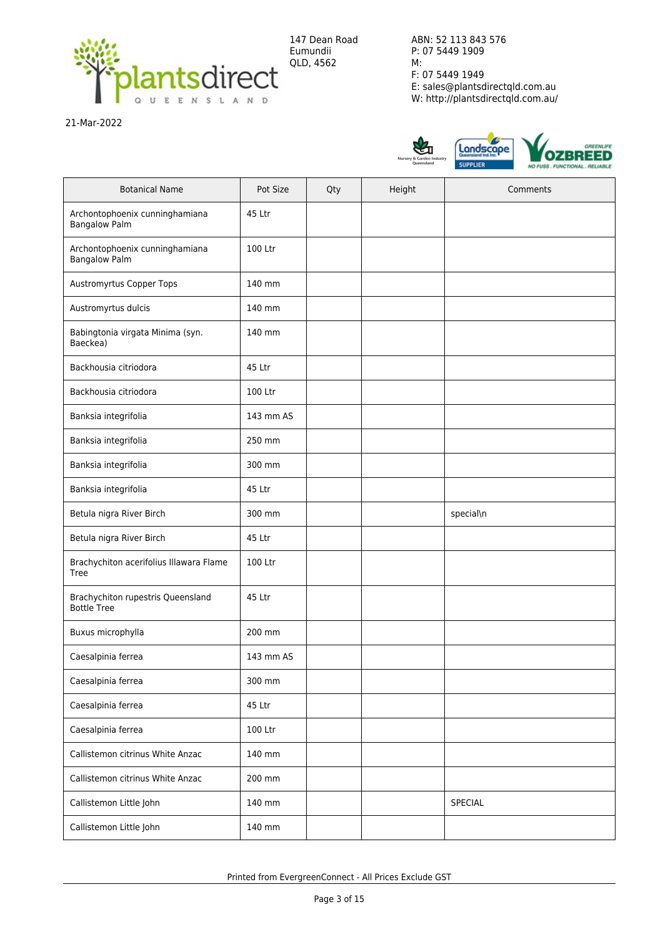

21-Mar-2022



| <b>Botanical Name</b>                                   | Pot Size  | Qty | Height | Comments  |
|---------------------------------------------------------|-----------|-----|--------|-----------|
| Archontophoenix cunninghamiana<br><b>Bangalow Palm</b>  | 45 Ltr    |     |        |           |
| Archontophoenix cunninghamiana<br><b>Bangalow Palm</b>  | 100 Ltr   |     |        |           |
| Austromyrtus Copper Tops                                | 140 mm    |     |        |           |
| Austromyrtus dulcis                                     | 140 mm    |     |        |           |
| Babingtonia virgata Minima (syn.<br>Baeckea)            | 140 mm    |     |        |           |
| Backhousia citriodora                                   | 45 Ltr    |     |        |           |
| Backhousia citriodora                                   | 100 Ltr   |     |        |           |
| Banksia integrifolia                                    | 143 mm AS |     |        |           |
| Banksia integrifolia                                    | 250 mm    |     |        |           |
| Banksia integrifolia                                    | 300 mm    |     |        |           |
| Banksia integrifolia                                    | 45 Ltr    |     |        |           |
| Betula nigra River Birch                                | 300 mm    |     |        | special\n |
| Betula nigra River Birch                                | 45 Ltr    |     |        |           |
| Brachychiton acerifolius Illawara Flame<br>Tree         | 100 Ltr   |     |        |           |
| Brachychiton rupestris Queensland<br><b>Bottle Tree</b> | 45 Ltr    |     |        |           |
| Buxus microphylla                                       | 200 mm    |     |        |           |
| Caesalpinia ferrea                                      | 143 mm AS |     |        |           |
| Caesalpinia ferrea                                      | 300 mm    |     |        |           |
| Caesalpinia ferrea                                      | 45 Ltr    |     |        |           |
| Caesalpinia ferrea                                      | 100 Ltr   |     |        |           |
| Callistemon citrinus White Anzac                        | 140 mm    |     |        |           |
| Callistemon citrinus White Anzac                        | 200 mm    |     |        |           |
| Callistemon Little John                                 | 140 mm    |     |        | SPECIAL   |
| Callistemon Little John                                 | 140 mm    |     |        |           |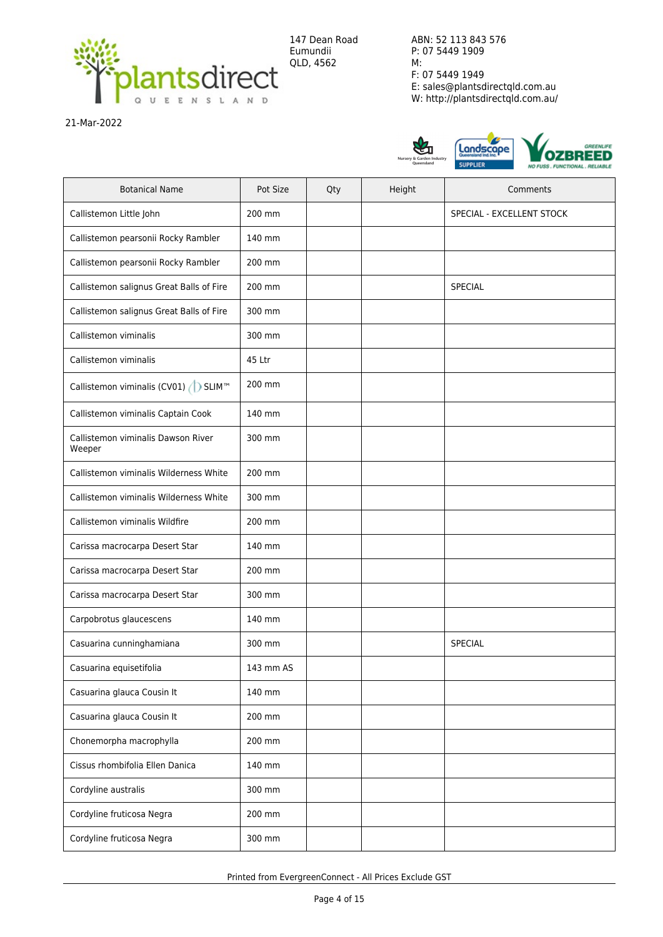

21-Mar-2022



| <b>Botanical Name</b>                        | Pot Size  | Qty | Height | Comments                  |
|----------------------------------------------|-----------|-----|--------|---------------------------|
| Callistemon Little John                      | 200 mm    |     |        | SPECIAL - EXCELLENT STOCK |
| Callistemon pearsonii Rocky Rambler          | 140 mm    |     |        |                           |
| Callistemon pearsonii Rocky Rambler          | 200 mm    |     |        |                           |
| Callistemon salignus Great Balls of Fire     | 200 mm    |     |        | <b>SPECIAL</b>            |
| Callistemon salignus Great Balls of Fire     | 300 mm    |     |        |                           |
| Callistemon viminalis                        | 300 mm    |     |        |                           |
| Callistemon viminalis                        | 45 Ltr    |     |        |                           |
| Callistemon viminalis (CV01) ( SLIM™         | 200 mm    |     |        |                           |
| Callistemon viminalis Captain Cook           | 140 mm    |     |        |                           |
| Callistemon viminalis Dawson River<br>Weeper | 300 mm    |     |        |                           |
| Callistemon viminalis Wilderness White       | 200 mm    |     |        |                           |
| Callistemon viminalis Wilderness White       | 300 mm    |     |        |                           |
| Callistemon viminalis Wildfire               | 200 mm    |     |        |                           |
| Carissa macrocarpa Desert Star               | 140 mm    |     |        |                           |
| Carissa macrocarpa Desert Star               | 200 mm    |     |        |                           |
| Carissa macrocarpa Desert Star               | 300 mm    |     |        |                           |
| Carpobrotus glaucescens                      | 140 mm    |     |        |                           |
| Casuarina cunninghamiana                     | 300 mm    |     |        | SPECIAL                   |
| Casuarina equisetifolia                      | 143 mm AS |     |        |                           |
| Casuarina glauca Cousin It                   | 140 mm    |     |        |                           |
| Casuarina glauca Cousin It                   | 200 mm    |     |        |                           |
| Chonemorpha macrophylla                      | 200 mm    |     |        |                           |
| Cissus rhombifolia Ellen Danica              | 140 mm    |     |        |                           |
| Cordyline australis                          | 300 mm    |     |        |                           |
| Cordyline fruticosa Negra                    | 200 mm    |     |        |                           |
| Cordyline fruticosa Negra                    | 300 mm    |     |        |                           |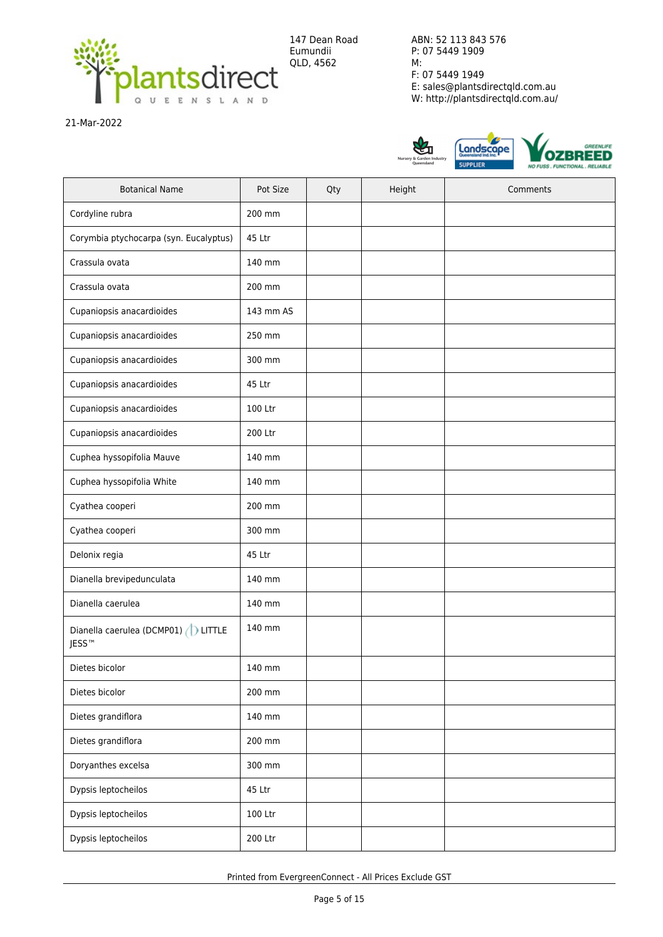

21-Mar-2022



| <b>Botanical Name</b>                                     | Pot Size  | Qty | Height | Comments |
|-----------------------------------------------------------|-----------|-----|--------|----------|
| Cordyline rubra                                           | 200 mm    |     |        |          |
| Corymbia ptychocarpa (syn. Eucalyptus)                    | 45 Ltr    |     |        |          |
| Crassula ovata                                            | 140 mm    |     |        |          |
| Crassula ovata                                            | 200 mm    |     |        |          |
| Cupaniopsis anacardioides                                 | 143 mm AS |     |        |          |
| Cupaniopsis anacardioides                                 | 250 mm    |     |        |          |
| Cupaniopsis anacardioides                                 | 300 mm    |     |        |          |
| Cupaniopsis anacardioides                                 | 45 Ltr    |     |        |          |
| Cupaniopsis anacardioides                                 | 100 Ltr   |     |        |          |
| Cupaniopsis anacardioides                                 | 200 Ltr   |     |        |          |
| Cuphea hyssopifolia Mauve                                 | 140 mm    |     |        |          |
| Cuphea hyssopifolia White                                 | 140 mm    |     |        |          |
| Cyathea cooperi                                           | 200 mm    |     |        |          |
| Cyathea cooperi                                           | 300 mm    |     |        |          |
| Delonix regia                                             | 45 Ltr    |     |        |          |
| Dianella brevipedunculata                                 | 140 mm    |     |        |          |
| Dianella caerulea                                         | 140 mm    |     |        |          |
| Dianella caerulea (DCMP01) (D LITTLE<br>JESS <sup>™</sup> | 140 mm    |     |        |          |
| Dietes bicolor                                            | 140 mm    |     |        |          |
| Dietes bicolor                                            | 200 mm    |     |        |          |
| Dietes grandiflora                                        | 140 mm    |     |        |          |
| Dietes grandiflora                                        | 200 mm    |     |        |          |
| Doryanthes excelsa                                        | 300 mm    |     |        |          |
| Dypsis leptocheilos                                       | 45 Ltr    |     |        |          |
| Dypsis leptocheilos                                       | 100 Ltr   |     |        |          |
| Dypsis leptocheilos                                       | 200 Ltr   |     |        |          |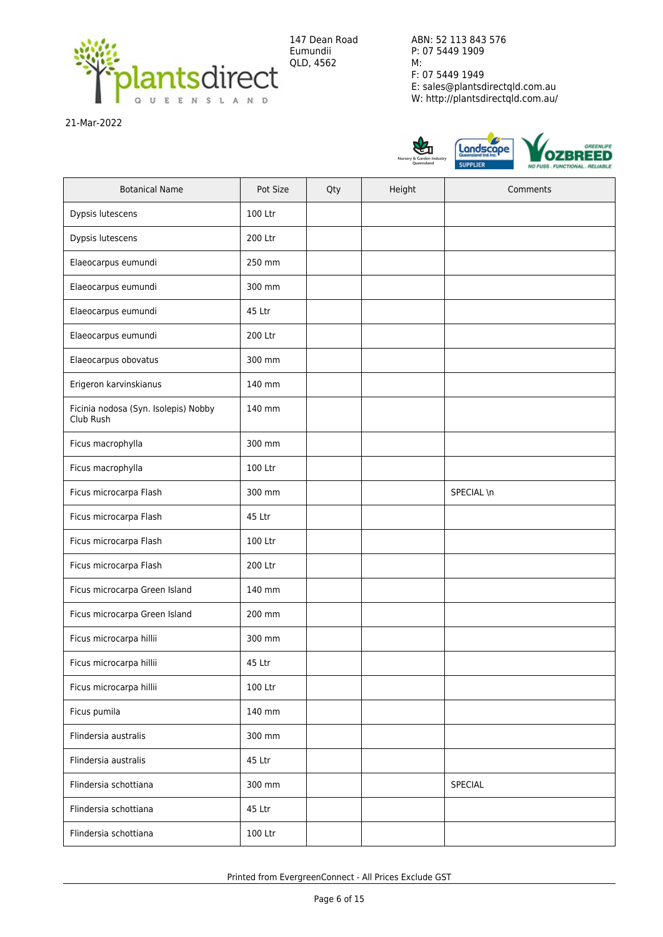

147 Dean Road Eumundii QLD, 4562

ABN: 52 113 843 576 P: 07 5449 1909 M: F: 07 5449 1949 E: sales@plantsdirectqld.com.au W: http://plantsdirectqld.com.au/

21-Mar-2022



| <b>Botanical Name</b>                             | Pot Size | Qty | Height | Comments   |
|---------------------------------------------------|----------|-----|--------|------------|
| Dypsis lutescens                                  | 100 Ltr  |     |        |            |
| Dypsis lutescens                                  | 200 Ltr  |     |        |            |
| Elaeocarpus eumundi                               | 250 mm   |     |        |            |
| Elaeocarpus eumundi                               | 300 mm   |     |        |            |
| Elaeocarpus eumundi                               | 45 Ltr   |     |        |            |
| Elaeocarpus eumundi                               | 200 Ltr  |     |        |            |
| Elaeocarpus obovatus                              | 300 mm   |     |        |            |
| Erigeron karvinskianus                            | 140 mm   |     |        |            |
| Ficinia nodosa (Syn. Isolepis) Nobby<br>Club Rush | 140 mm   |     |        |            |
| Ficus macrophylla                                 | 300 mm   |     |        |            |
| Ficus macrophylla                                 | 100 Ltr  |     |        |            |
| Ficus microcarpa Flash                            | 300 mm   |     |        | SPECIAL \n |
| Ficus microcarpa Flash                            | 45 Ltr   |     |        |            |
| Ficus microcarpa Flash                            | 100 Ltr  |     |        |            |
| Ficus microcarpa Flash                            | 200 Ltr  |     |        |            |
| Ficus microcarpa Green Island                     | 140 mm   |     |        |            |
| Ficus microcarpa Green Island                     | 200 mm   |     |        |            |
| Ficus microcarpa hillii                           | 300 mm   |     |        |            |
| Ficus microcarpa hillii                           | 45 Ltr   |     |        |            |
| Ficus microcarpa hillii                           | 100 Ltr  |     |        |            |
| Ficus pumila                                      | 140 mm   |     |        |            |
| Flindersia australis                              | 300 mm   |     |        |            |
| Flindersia australis                              | 45 Ltr   |     |        |            |
| Flindersia schottiana                             | 300 mm   |     |        | SPECIAL    |
| Flindersia schottiana                             | 45 Ltr   |     |        |            |
| Flindersia schottiana                             | 100 Ltr  |     |        |            |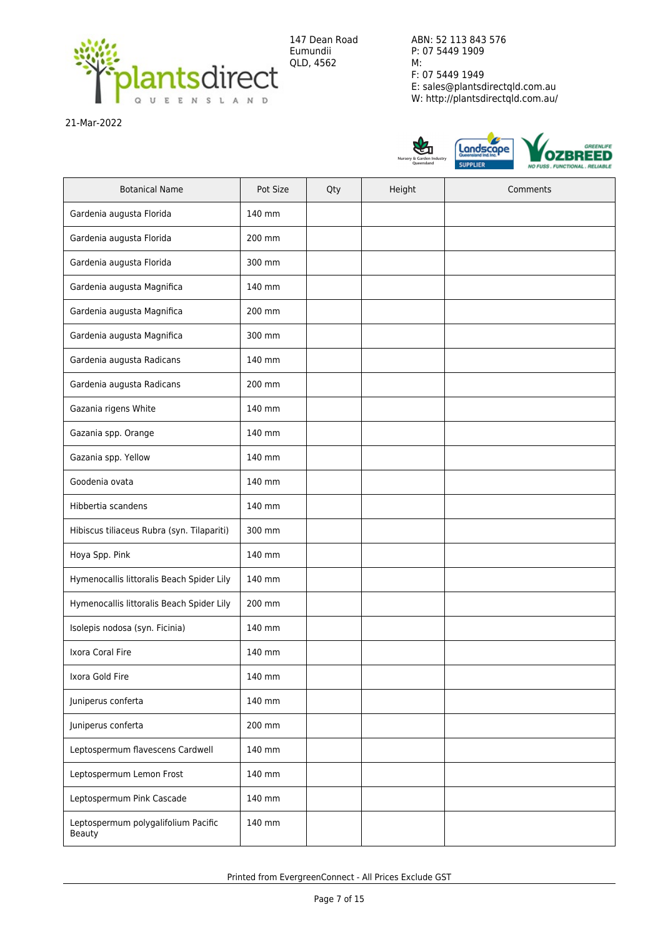

21-Mar-2022



| <b>Botanical Name</b>                         | Pot Size        | Qty | Height | Comments |
|-----------------------------------------------|-----------------|-----|--------|----------|
| Gardenia augusta Florida                      | 140 mm          |     |        |          |
| Gardenia augusta Florida                      | 200 mm          |     |        |          |
| Gardenia augusta Florida                      | 300 mm          |     |        |          |
| Gardenia augusta Magnifica                    | 140 mm          |     |        |          |
| Gardenia augusta Magnifica                    | 200 mm          |     |        |          |
| Gardenia augusta Magnifica                    | 300 mm          |     |        |          |
| Gardenia augusta Radicans                     | 140 mm          |     |        |          |
| Gardenia augusta Radicans                     | 200 mm          |     |        |          |
| Gazania rigens White                          | 140 mm          |     |        |          |
| Gazania spp. Orange                           | 140 mm          |     |        |          |
| Gazania spp. Yellow                           | 140 mm          |     |        |          |
| Goodenia ovata                                | 140 mm          |     |        |          |
| Hibbertia scandens                            | 140 mm          |     |        |          |
| Hibiscus tiliaceus Rubra (syn. Tilapariti)    | 300 mm          |     |        |          |
| Hoya Spp. Pink                                | 140 mm          |     |        |          |
| Hymenocallis littoralis Beach Spider Lily     | 140 mm          |     |        |          |
| Hymenocallis littoralis Beach Spider Lily     | 200 mm          |     |        |          |
| Isolepis nodosa (syn. Ficinia)                | 140 mm          |     |        |          |
| Ixora Coral Fire                              | 140 mm          |     |        |          |
| Ixora Gold Fire                               | $140\;{\rm mm}$ |     |        |          |
| Juniperus conferta                            | 140 mm          |     |        |          |
| Juniperus conferta                            | 200 mm          |     |        |          |
| Leptospermum flavescens Cardwell              | 140 mm          |     |        |          |
| Leptospermum Lemon Frost                      | 140 mm          |     |        |          |
| Leptospermum Pink Cascade                     | 140 mm          |     |        |          |
| Leptospermum polygalifolium Pacific<br>Beauty | 140 mm          |     |        |          |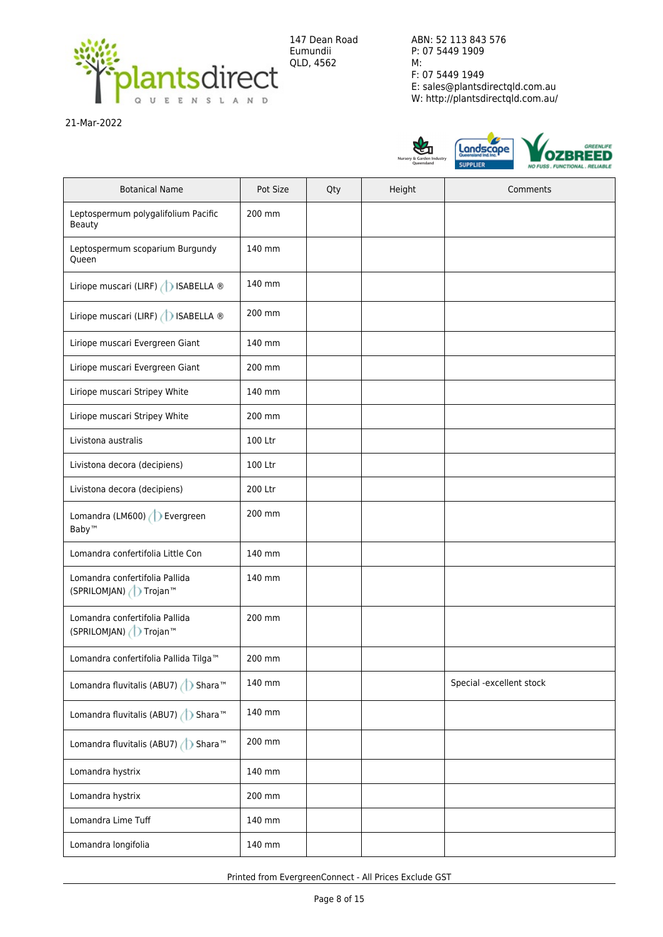

21-Mar-2022



| <b>Botanical Name</b>                                    | Pot Size | Qty | Height | Comments                 |
|----------------------------------------------------------|----------|-----|--------|--------------------------|
| Leptospermum polygalifolium Pacific<br>Beauty            | 200 mm   |     |        |                          |
| Leptospermum scoparium Burgundy<br>Queen                 | 140 mm   |     |        |                          |
| Liriope muscari (LIRF) (   ISABELLA ®                    | 140 mm   |     |        |                          |
| Liriope muscari (LIRF) (DISABELLA ®                      | 200 mm   |     |        |                          |
| Liriope muscari Evergreen Giant                          | 140 mm   |     |        |                          |
| Liriope muscari Evergreen Giant                          | 200 mm   |     |        |                          |
| Liriope muscari Stripey White                            | 140 mm   |     |        |                          |
| Liriope muscari Stripey White                            | 200 mm   |     |        |                          |
| Livistona australis                                      | 100 Ltr  |     |        |                          |
| Livistona decora (decipiens)                             | 100 Ltr  |     |        |                          |
| Livistona decora (decipiens)                             | 200 Ltr  |     |        |                          |
| Lomandra (LM600) D Evergreen<br>Baby™                    | 200 mm   |     |        |                          |
| Lomandra confertifolia Little Con                        | 140 mm   |     |        |                          |
| Lomandra confertifolia Pallida<br>(SPRILOMJAN) / Trojan™ | 140 mm   |     |        |                          |
| Lomandra confertifolia Pallida<br>(SPRILOMJAN) / Trojan™ | 200 mm   |     |        |                          |
| Lomandra confertifolia Pallida Tilga™                    | 200 mm   |     |        |                          |
| Lomandra fluvitalis (ABU7) ( Shara <sup>™</sup>          | 140 mm   |     |        | Special -excellent stock |
| Lomandra fluvitalis (ABU7) ( Shara <sup>™</sup>          | 140 mm   |     |        |                          |
| Lomandra fluvitalis (ABU7) ( Shara <sup>™</sup>          | 200 mm   |     |        |                          |
| Lomandra hystrix                                         | 140 mm   |     |        |                          |
| Lomandra hystrix                                         | 200 mm   |     |        |                          |
| Lomandra Lime Tuff                                       | 140 mm   |     |        |                          |
| Lomandra longifolia                                      | 140 mm   |     |        |                          |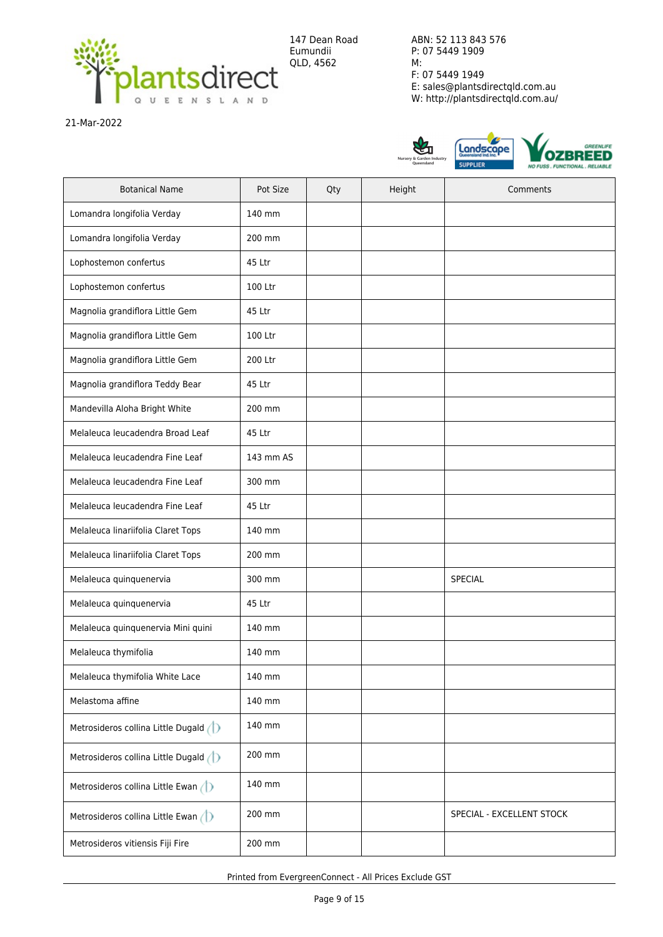

21-Mar-2022



| <b>Botanical Name</b>                       | Pot Size  | Qty | Height | Comments                  |
|---------------------------------------------|-----------|-----|--------|---------------------------|
| Lomandra longifolia Verday                  | 140 mm    |     |        |                           |
| Lomandra longifolia Verday                  | 200 mm    |     |        |                           |
| Lophostemon confertus                       | 45 Ltr    |     |        |                           |
| Lophostemon confertus                       | 100 Ltr   |     |        |                           |
| Magnolia grandiflora Little Gem             | 45 Ltr    |     |        |                           |
| Magnolia grandiflora Little Gem             | 100 Ltr   |     |        |                           |
| Magnolia grandiflora Little Gem             | 200 Ltr   |     |        |                           |
| Magnolia grandiflora Teddy Bear             | 45 Ltr    |     |        |                           |
| Mandevilla Aloha Bright White               | 200 mm    |     |        |                           |
| Melaleuca leucadendra Broad Leaf            | 45 Ltr    |     |        |                           |
| Melaleuca leucadendra Fine Leaf             | 143 mm AS |     |        |                           |
| Melaleuca leucadendra Fine Leaf             | 300 mm    |     |        |                           |
| Melaleuca leucadendra Fine Leaf             | 45 Ltr    |     |        |                           |
| Melaleuca linariifolia Claret Tops          | 140 mm    |     |        |                           |
| Melaleuca linariifolia Claret Tops          | 200 mm    |     |        |                           |
| Melaleuca quinquenervia                     | 300 mm    |     |        | SPECIAL                   |
| Melaleuca quinquenervia                     | 45 Ltr    |     |        |                           |
| Melaleuca quinquenervia Mini quini          | 140 mm    |     |        |                           |
| Melaleuca thymifolia                        | 140 mm    |     |        |                           |
| Melaleuca thymifolia White Lace             | 140 mm    |     |        |                           |
| Melastoma affine                            | 140 mm    |     |        |                           |
| Metrosideros collina Little Dugald (1)      | 140 mm    |     |        |                           |
| Metrosideros collina Little Dugald (1)      | 200 mm    |     |        |                           |
| Metrosideros collina Little Ewan (          | 140 mm    |     |        |                           |
| Metrosideros collina Little Ewan $\bigcirc$ | 200 mm    |     |        | SPECIAL - EXCELLENT STOCK |
| Metrosideros vitiensis Fiji Fire            | 200 mm    |     |        |                           |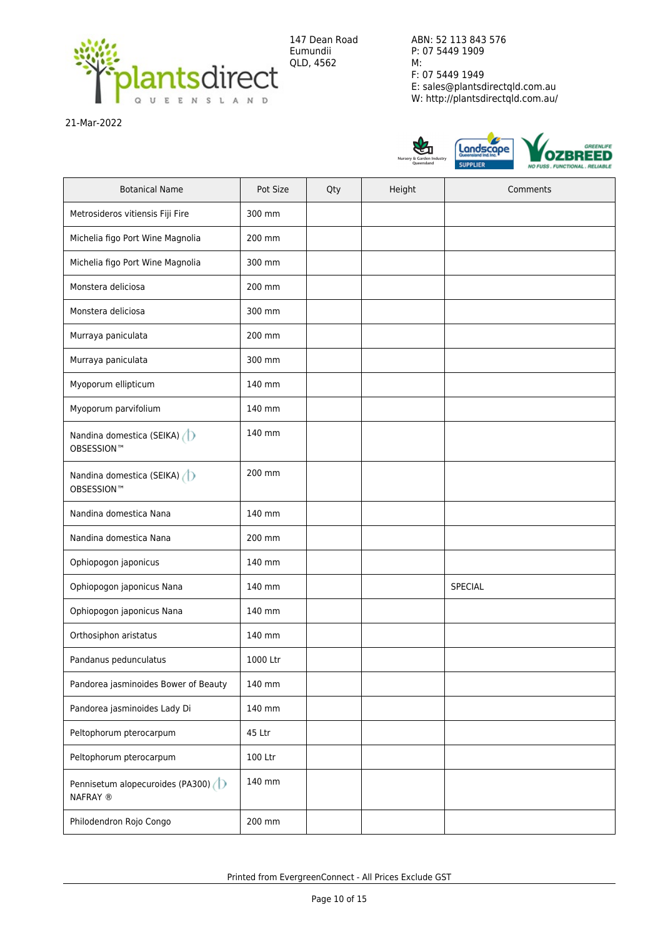

21-Mar-2022



| <b>Botanical Name</b>                          | Pot Size | Qty | Height | Comments |
|------------------------------------------------|----------|-----|--------|----------|
| Metrosideros vitiensis Fiji Fire               | 300 mm   |     |        |          |
| Michelia figo Port Wine Magnolia               | 200 mm   |     |        |          |
| Michelia figo Port Wine Magnolia               | 300 mm   |     |        |          |
| Monstera deliciosa                             | 200 mm   |     |        |          |
| Monstera deliciosa                             | 300 mm   |     |        |          |
| Murraya paniculata                             | 200 mm   |     |        |          |
| Murraya paniculata                             | 300 mm   |     |        |          |
| Myoporum ellipticum                            | 140 mm   |     |        |          |
| Myoporum parvifolium                           | 140 mm   |     |        |          |
| Nandina domestica (SEIKA)<br><b>OBSESSION™</b> | 140 mm   |     |        |          |
| Nandina domestica (SEIKA)<br><b>OBSESSION™</b> | 200 mm   |     |        |          |
| Nandina domestica Nana                         | 140 mm   |     |        |          |
| Nandina domestica Nana                         | 200 mm   |     |        |          |
| Ophiopogon japonicus                           | 140 mm   |     |        |          |
| Ophiopogon japonicus Nana                      | 140 mm   |     |        | SPECIAL  |
| Ophiopogon japonicus Nana                      | 140 mm   |     |        |          |
| Orthosiphon aristatus                          | 140 mm   |     |        |          |
| Pandanus pedunculatus                          | 1000 Ltr |     |        |          |
| Pandorea jasminoides Bower of Beauty           | 140 mm   |     |        |          |
| Pandorea jasminoides Lady Di                   | 140 mm   |     |        |          |
| Peltophorum pterocarpum                        | 45 Ltr   |     |        |          |
| Peltophorum pterocarpum                        | 100 Ltr  |     |        |          |
| Pennisetum alopecuroides (PA300)<br>NAFRAY ®   | 140 mm   |     |        |          |
| Philodendron Rojo Congo                        | 200 mm   |     |        |          |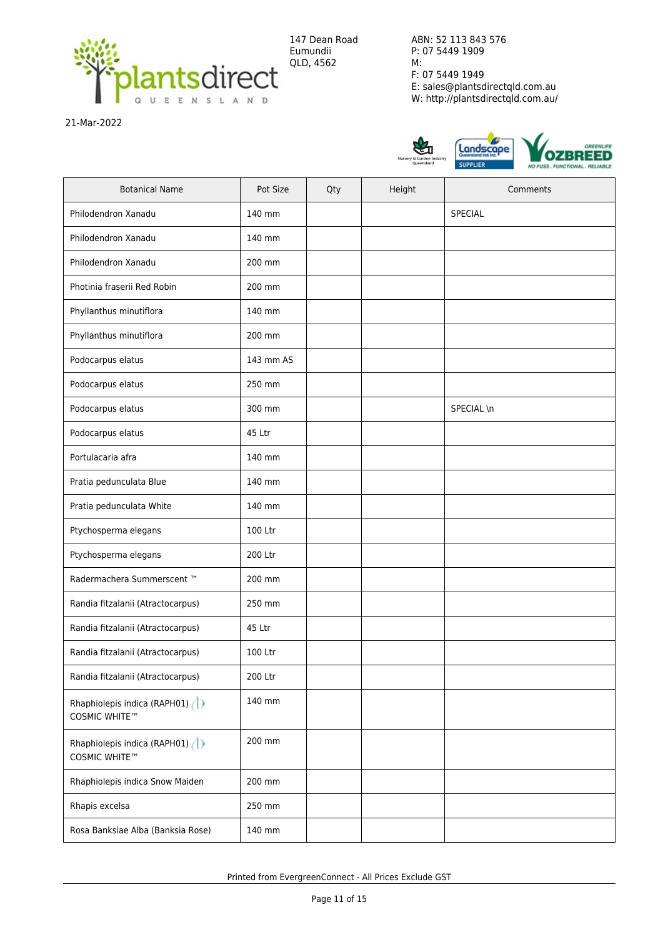

21-Mar-2022



| <b>Botanical Name</b>                         | Pot Size  | Qty | Height | Comments   |
|-----------------------------------------------|-----------|-----|--------|------------|
| Philodendron Xanadu                           | 140 mm    |     |        | SPECIAL    |
| Philodendron Xanadu                           | 140 mm    |     |        |            |
| Philodendron Xanadu                           | 200 mm    |     |        |            |
| Photinia fraserii Red Robin                   | 200 mm    |     |        |            |
| Phyllanthus minutiflora                       | 140 mm    |     |        |            |
| Phyllanthus minutiflora                       | 200 mm    |     |        |            |
| Podocarpus elatus                             | 143 mm AS |     |        |            |
| Podocarpus elatus                             | 250 mm    |     |        |            |
| Podocarpus elatus                             | 300 mm    |     |        | SPECIAL \n |
| Podocarpus elatus                             | 45 Ltr    |     |        |            |
| Portulacaria afra                             | 140 mm    |     |        |            |
| Pratia pedunculata Blue                       | 140 mm    |     |        |            |
| Pratia pedunculata White                      | 140 mm    |     |        |            |
| Ptychosperma elegans                          | 100 Ltr   |     |        |            |
| Ptychosperma elegans                          | 200 Ltr   |     |        |            |
| Radermachera Summerscent ™                    | 200 mm    |     |        |            |
| Randia fitzalanii (Atractocarpus)             | 250 mm    |     |        |            |
| Randia fitzalanii (Atractocarpus)             | 45 Ltr    |     |        |            |
| Randia fitzalanii (Atractocarpus)             | 100 Ltr   |     |        |            |
| Randia fitzalanii (Atractocarpus)             | 200 Ltr   |     |        |            |
| Rhaphiolepis indica (RAPH01)<br>COSMIC WHITE™ | 140 mm    |     |        |            |
| Rhaphiolepis indica (RAPH01)<br>COSMIC WHITE™ | 200 mm    |     |        |            |
| Rhaphiolepis indica Snow Maiden               | 200 mm    |     |        |            |
| Rhapis excelsa                                | 250 mm    |     |        |            |
| Rosa Banksiae Alba (Banksia Rose)             | 140 mm    |     |        |            |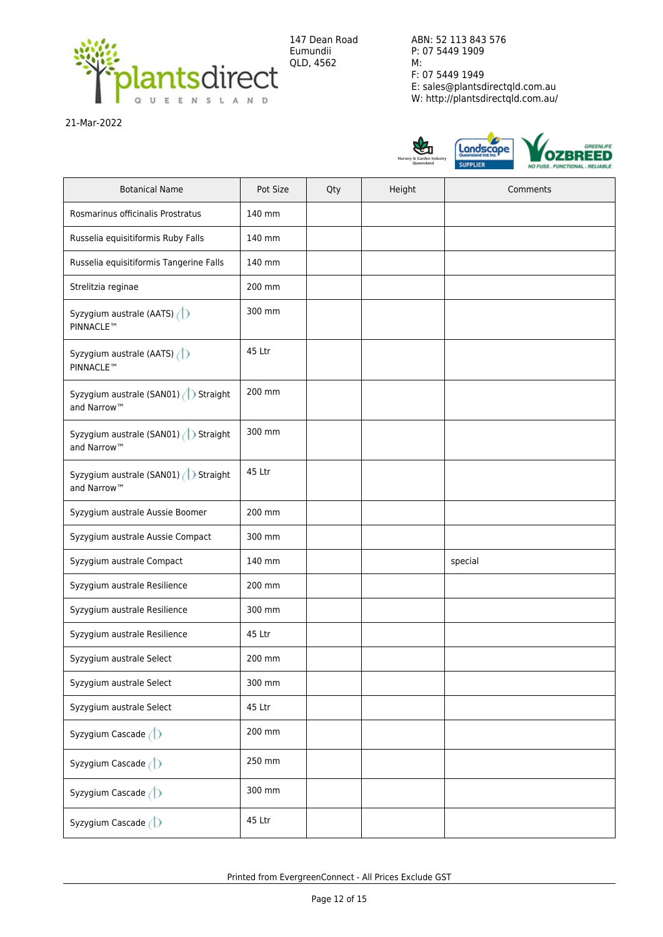

21-Mar-2022



| <b>Botanical Name</b>                                           | Pot Size | Qty | Height | Comments |
|-----------------------------------------------------------------|----------|-----|--------|----------|
| Rosmarinus officinalis Prostratus                               | 140 mm   |     |        |          |
| Russelia equisitiformis Ruby Falls                              | 140 mm   |     |        |          |
| Russelia equisitiformis Tangerine Falls                         | 140 mm   |     |        |          |
| Strelitzia reginae                                              | 200 mm   |     |        |          |
| Syzygium australe (AATS) $\bigcirc$<br><b>PINNACLE™</b>         | 300 mm   |     |        |          |
| Syzygium australe (AATS)<br><b>PINNACLE™</b>                    | 45 Ltr   |     |        |          |
| Syzygium australe (SAN01) > Straight<br>and Narrow <sup>™</sup> | 200 mm   |     |        |          |
| Syzygium australe (SAN01) > Straight<br>and Narrow <sup>™</sup> | 300 mm   |     |        |          |
| Syzygium australe (SAN01) > Straight<br>and Narrow <sup>™</sup> | 45 Ltr   |     |        |          |
| Syzygium australe Aussie Boomer                                 | 200 mm   |     |        |          |
| Syzygium australe Aussie Compact                                | 300 mm   |     |        |          |
| Syzygium australe Compact                                       | 140 mm   |     |        | special  |
| Syzygium australe Resilience                                    | 200 mm   |     |        |          |
| Syzygium australe Resilience                                    | 300 mm   |     |        |          |
| Syzygium australe Resilience                                    | 45 Ltr   |     |        |          |
| Syzygium australe Select                                        | 200 mm   |     |        |          |
| Syzygium australe Select                                        | 300 mm   |     |        |          |
| Syzygium australe Select                                        | 45 Ltr   |     |        |          |
| Syzygium Cascade (D                                             | 200 mm   |     |        |          |
| Syzygium Cascade (D                                             | 250 mm   |     |        |          |
| Syzygium Cascade (D                                             | 300 mm   |     |        |          |
| Syzygium Cascade (D                                             | 45 Ltr   |     |        |          |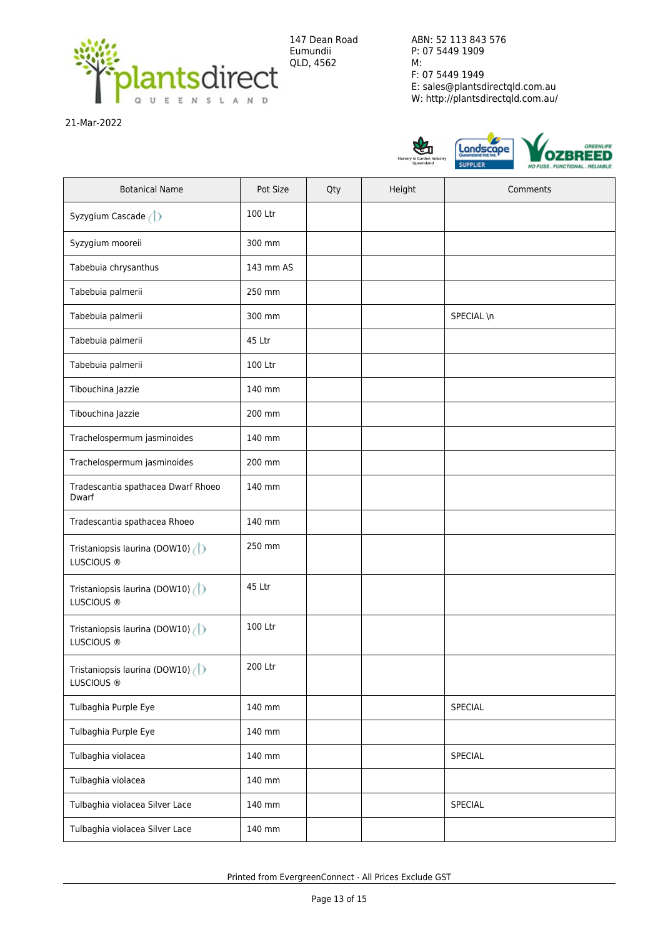

147 Dean Road Eumundii QLD, 4562

ABN: 52 113 843 576 P: 07 5449 1909 M: F: 07 5449 1949 E: sales@plantsdirectqld.com.au W: http://plantsdirectqld.com.au/

21-Mar-2022



| <b>Botanical Name</b>                                  | Pot Size  | Qty | Height | Comments   |
|--------------------------------------------------------|-----------|-----|--------|------------|
| Syzygium Cascade (D                                    | 100 Ltr   |     |        |            |
| Syzygium mooreii                                       | 300 mm    |     |        |            |
| Tabebuia chrysanthus                                   | 143 mm AS |     |        |            |
| Tabebuia palmerii                                      | 250 mm    |     |        |            |
| Tabebuia palmerii                                      | 300 mm    |     |        | SPECIAL \n |
| Tabebuia palmerii                                      | 45 Ltr    |     |        |            |
| Tabebuia palmerii                                      | 100 Ltr   |     |        |            |
| Tibouchina Jazzie                                      | 140 mm    |     |        |            |
| Tibouchina Jazzie                                      | 200 mm    |     |        |            |
| Trachelospermum jasminoides                            | 140 mm    |     |        |            |
| Trachelospermum jasminoides                            | 200 mm    |     |        |            |
| Tradescantia spathacea Dwarf Rhoeo<br>Dwarf            | 140 mm    |     |        |            |
| Tradescantia spathacea Rhoeo                           | 140 mm    |     |        |            |
| Tristaniopsis laurina (DOW10) (<br>LUSCIOUS ®          | 250 mm    |     |        |            |
| Tristaniopsis laurina (DOW10)<br>LUSCIOUS ®            | 45 Ltr    |     |        |            |
| Tristaniopsis laurina (DOW10)<br>LUSCIOUS ®            | 100 Ltr   |     |        |            |
| Tristaniopsis laurina (DOW10)<br>LUSCIOUS <sup>®</sup> | 200 Ltr   |     |        |            |
| Tulbaghia Purple Eye                                   | 140 mm    |     |        | SPECIAL    |
| Tulbaghia Purple Eye                                   | 140 mm    |     |        |            |
| Tulbaghia violacea                                     | 140 mm    |     |        | SPECIAL    |
| Tulbaghia violacea                                     | 140 mm    |     |        |            |
| Tulbaghia violacea Silver Lace                         | 140 mm    |     |        | SPECIAL    |
| Tulbaghia violacea Silver Lace                         | 140 mm    |     |        |            |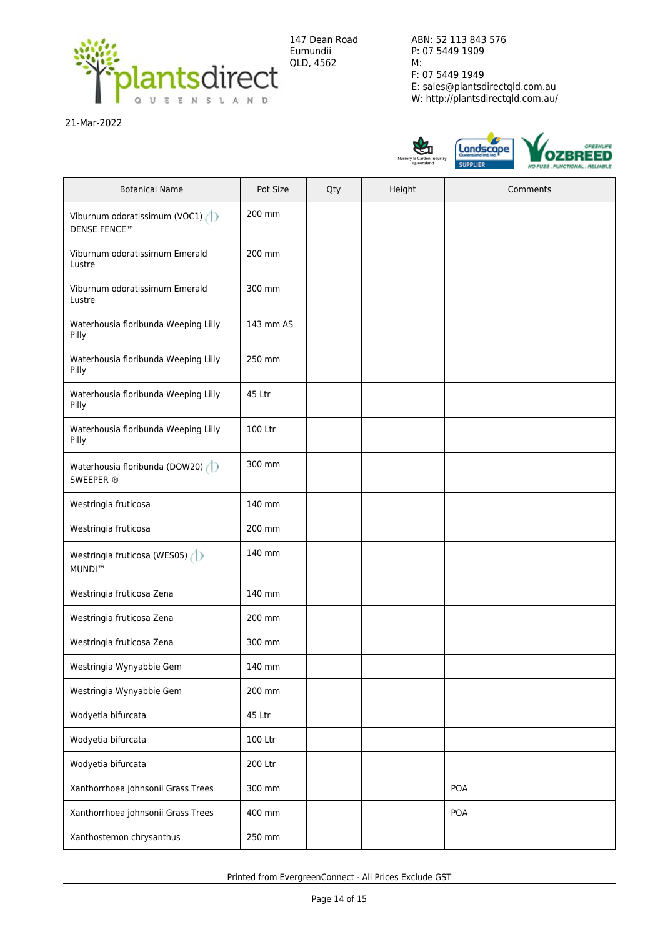

21-Mar-2022



| <b>Botanical Name</b>                                | Pot Size  | Qty | Height | Comments |
|------------------------------------------------------|-----------|-----|--------|----------|
| Viburnum odoratissimum (VOC1)<br><b>DENSE FENCE™</b> | 200 mm    |     |        |          |
| Viburnum odoratissimum Emerald<br>Lustre             | 200 mm    |     |        |          |
| Viburnum odoratissimum Emerald<br>Lustre             | 300 mm    |     |        |          |
| Waterhousia floribunda Weeping Lilly<br>Pilly        | 143 mm AS |     |        |          |
| Waterhousia floribunda Weeping Lilly<br>Pilly        | 250 mm    |     |        |          |
| Waterhousia floribunda Weeping Lilly<br>Pilly        | 45 Ltr    |     |        |          |
| Waterhousia floribunda Weeping Lilly<br>Pilly        | 100 Ltr   |     |        |          |
| Waterhousia floribunda (DOW20)<br>SWEEPER ®          | 300 mm    |     |        |          |
| Westringia fruticosa                                 | 140 mm    |     |        |          |
| Westringia fruticosa                                 | 200 mm    |     |        |          |
| Westringia fruticosa (WES05)<br><b>MUNDI™</b>        | 140 mm    |     |        |          |
| Westringia fruticosa Zena                            | 140 mm    |     |        |          |
| Westringia fruticosa Zena                            | 200 mm    |     |        |          |
| Westringia fruticosa Zena                            | 300 mm    |     |        |          |
| Westringia Wynyabbie Gem                             | 140 mm    |     |        |          |
| Westringia Wynyabbie Gem                             | 200 mm    |     |        |          |
| Wodyetia bifurcata                                   | 45 Ltr    |     |        |          |
| Wodyetia bifurcata                                   | 100 Ltr   |     |        |          |
| Wodyetia bifurcata                                   | 200 Ltr   |     |        |          |
| Xanthorrhoea johnsonii Grass Trees                   | 300 mm    |     |        | POA      |
| Xanthorrhoea johnsonii Grass Trees                   | 400 mm    |     |        | POA      |
| Xanthostemon chrysanthus                             | 250 mm    |     |        |          |